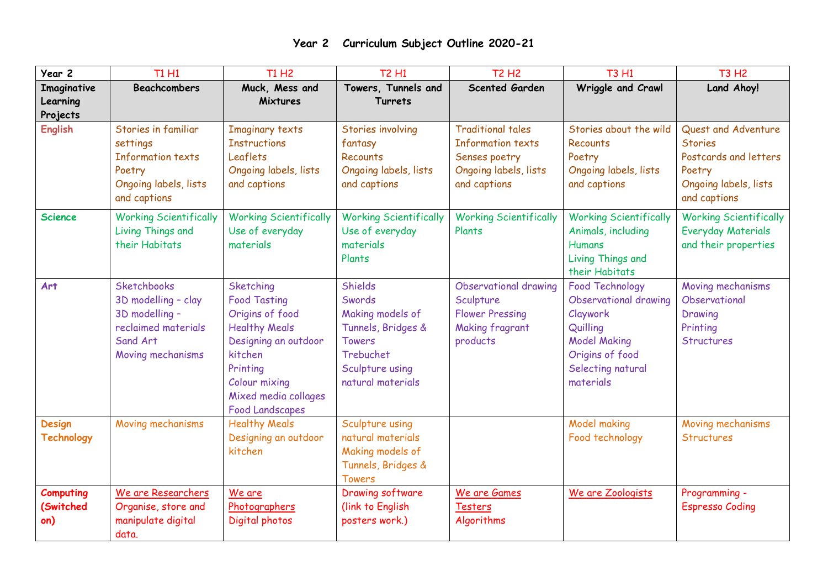| Year 2                               | <b>T1 H1</b>                                                                                                        | <b>T1 H2</b>                                                                                                                                                                                  | <b>T2 H1</b>                                                                                                                                    | <b>T2 H2</b>                                                                                                   | <b>T3 H1</b>                                                                                                                                        | <b>T3 H2</b>                                                                                                      |
|--------------------------------------|---------------------------------------------------------------------------------------------------------------------|-----------------------------------------------------------------------------------------------------------------------------------------------------------------------------------------------|-------------------------------------------------------------------------------------------------------------------------------------------------|----------------------------------------------------------------------------------------------------------------|-----------------------------------------------------------------------------------------------------------------------------------------------------|-------------------------------------------------------------------------------------------------------------------|
| Imaginative<br>Learning<br>Projects  | <b>Beachcombers</b>                                                                                                 | Muck, Mess and<br>Mixtures                                                                                                                                                                    | Towers, Tunnels and<br><b>Turrets</b>                                                                                                           | <b>Scented Garden</b>                                                                                          | Wriggle and Crawl                                                                                                                                   | Land Ahoy!                                                                                                        |
| <b>English</b>                       | Stories in familiar<br>settings<br><b>Information texts</b><br>Poetry<br>Ongoing labels, lists<br>and captions      | <b>Imaginary texts</b><br><b>Instructions</b><br>Leaflets<br>Ongoing labels, lists<br>and captions                                                                                            | Stories involving<br>fantasy<br><b>Recounts</b><br>Ongoing labels, lists<br>and captions                                                        | <b>Traditional tales</b><br><b>Information texts</b><br>Senses poetry<br>Ongoing labels, lists<br>and captions | Stories about the wild<br>Recounts<br>Poetry<br>Ongoing labels, lists<br>and captions                                                               | Quest and Adventure<br><b>Stories</b><br>Postcards and letters<br>Poetry<br>Ongoing labels, lists<br>and captions |
| <b>Science</b>                       | <b>Working Scientifically</b><br>Living Things and<br>their Habitats                                                | <b>Working Scientifically</b><br>Use of everyday<br>materials                                                                                                                                 | <b>Working Scientifically</b><br>Use of everyday<br>materials<br>Plants                                                                         | <b>Working Scientifically</b><br>Plants                                                                        | <b>Working Scientifically</b><br>Animals, including<br><b>Humans</b><br>Living Things and<br>their Habitats                                         | <b>Working Scientifically</b><br><b>Everyday Materials</b><br>and their properties                                |
| Art                                  | <b>Sketchbooks</b><br>3D modelling - clay<br>3D modelling -<br>reclaimed materials<br>Sand Art<br>Moving mechanisms | Sketching<br><b>Food Tasting</b><br>Origins of food<br><b>Healthy Meals</b><br>Designing an outdoor<br>kitchen<br>Printing<br>Colour mixing<br>Mixed media collages<br><b>Food Landscapes</b> | <b>Shields</b><br>Swords<br>Making models of<br>Tunnels, Bridges &<br><b>Towers</b><br><b>Trebuchet</b><br>Sculpture using<br>natural materials | Observational drawing<br>Sculpture<br><b>Flower Pressing</b><br><b>Making fragrant</b><br>products             | <b>Food Technology</b><br>Observational drawing<br>Claywork<br>Quilling<br><b>Model Making</b><br>Origins of food<br>Selecting natural<br>materials | Moving mechanisms<br>Observational<br>Drawing<br>Printing<br><b>Structures</b>                                    |
| <b>Design</b><br><b>Technology</b>   | Moving mechanisms                                                                                                   | <b>Healthy Meals</b><br>Designing an outdoor<br>kitchen                                                                                                                                       | Sculpture using<br>natural materials<br>Making models of<br>Tunnels, Bridges &<br><b>Towers</b>                                                 |                                                                                                                | Model making<br>Food technology                                                                                                                     | Moving mechanisms<br><b>Structures</b>                                                                            |
| <b>Computing</b><br>(Switched<br>on) | We are Researchers<br>Organise, store and<br>manipulate digital<br>data.                                            | We are<br>Photographers<br>Digital photos                                                                                                                                                     | <b>Drawing software</b><br>(link to English<br>posters work.)                                                                                   | We are Games<br><b>Testers</b><br>Algorithms                                                                   | We are Zoologists                                                                                                                                   | Programming -<br><b>Espresso Coding</b>                                                                           |